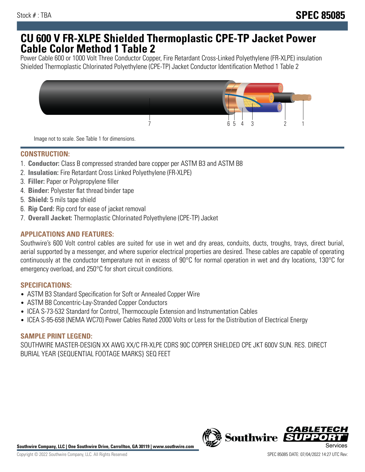## **CU 600 V FR-XLPE Shielded Thermoplastic CPE-TP Jacket Power Cable Color Method 1 Table 2**

Power Cable 600 or 1000 Volt Three Conductor Copper, Fire Retardant Cross-Linked Polyethylene (FR-XLPE) insulation Shielded Thermoplastic Chlorinated Polyethylene (CPE-TP) Jacket Conductor Identification Method 1 Table 2



Image not to scale. See Table 1 for dimensions.

## **CONSTRUCTION:**

- 1. **Conductor:** Class B compressed stranded bare copper per ASTM B3 and ASTM B8
- 2. **Insulation:** Fire Retardant Cross Linked Polyethylene (FR-XLPE)
- 3. **Filler:** Paper or Polypropylene filler
- 4. **Binder:** Polyester flat thread binder tape
- 5. **Shield:** 5 mils tape shield
- 6. **Rip Cord:** Rip cord for ease of jacket removal
- 7. **Overall Jacket:** Thermoplastic Chlorinated Polyethylene (CPE-TP) Jacket

### **APPLICATIONS AND FEATURES:**

Southwire's 600 Volt control cables are suited for use in wet and dry areas, conduits, ducts, troughs, trays, direct burial, aerial supported by a messenger, and where superior electrical properties are desired. These cables are capable of operating continuously at the conductor temperature not in excess of 90°C for normal operation in wet and dry locations, 130°C for emergency overload, and 250°C for short circuit conditions.

#### **SPECIFICATIONS:**

- ASTM B3 Standard Specification for Soft or Annealed Copper Wire
- ASTM B8 Concentric-Lay-Stranded Copper Conductors
- ICEA S-73-532 Standard for Control, Thermocouple Extension and Instrumentation Cables
- ICEA S-95-658 (NEMA WC70) Power Cables Rated 2000 Volts or Less for the Distribution of Electrical Energy

#### **SAMPLE PRINT LEGEND:**

SOUTHWIRE MASTER-DESIGN XX AWG XX/C FR-XLPE CDRS 90C COPPER SHIELDED CPE JKT 600V SUN. RES. DIRECT BURIAL YEAR {SEQUENTIAL FOOTAGE MARKS} SEQ FEET